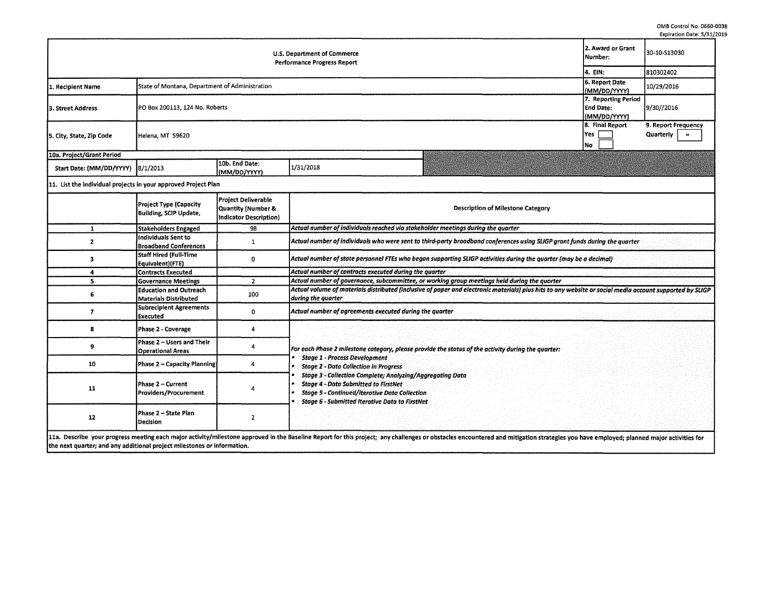|                                                                |                                                                                |                                                                     |                                                                                                                                                                                                                                                                                                                                                                                                                                                                                                                                                                                |                                                  | rvhuanni nare, nint                                |  |  |  |  |  |  |
|----------------------------------------------------------------|--------------------------------------------------------------------------------|---------------------------------------------------------------------|--------------------------------------------------------------------------------------------------------------------------------------------------------------------------------------------------------------------------------------------------------------------------------------------------------------------------------------------------------------------------------------------------------------------------------------------------------------------------------------------------------------------------------------------------------------------------------|--------------------------------------------------|----------------------------------------------------|--|--|--|--|--|--|
|                                                                | 2. Award or Grant<br>Number:                                                   | 30-10-S13030                                                        |                                                                                                                                                                                                                                                                                                                                                                                                                                                                                                                                                                                |                                                  |                                                    |  |  |  |  |  |  |
|                                                                |                                                                                | 4. EIN:                                                             | 810302402                                                                                                                                                                                                                                                                                                                                                                                                                                                                                                                                                                      |                                                  |                                                    |  |  |  |  |  |  |
| 1. Recipient Name                                              |                                                                                | 6. Report Date<br>(MM/DD/YYYY)                                      | 10/29/2016                                                                                                                                                                                                                                                                                                                                                                                                                                                                                                                                                                     |                                                  |                                                    |  |  |  |  |  |  |
| 3. Street Address                                              | PO Box 200113, 124 No. Roberts                                                 |                                                                     |                                                                                                                                                                                                                                                                                                                                                                                                                                                                                                                                                                                | 7. Reporting Period<br>End Date:<br>(MM/DD/YYYY) | 9/30//2016                                         |  |  |  |  |  |  |
| 5. City, State, Zip Code                                       | Helena, MT 59620                                                               |                                                                     |                                                                                                                                                                                                                                                                                                                                                                                                                                                                                                                                                                                | 8. Final Report<br>Yes<br>No                     | 9. Report Frequency<br>Quarterly<br>$\pmb{\times}$ |  |  |  |  |  |  |
| 10a. Project/Grant Period                                      |                                                                                |                                                                     |                                                                                                                                                                                                                                                                                                                                                                                                                                                                                                                                                                                |                                                  |                                                    |  |  |  |  |  |  |
| Start Date: (MM/DD/YYYY)                                       | 8/1/2013                                                                       | 10b. End Date:<br>(MM/DD/YYYY)                                      | 1/31/2018                                                                                                                                                                                                                                                                                                                                                                                                                                                                                                                                                                      |                                                  |                                                    |  |  |  |  |  |  |
| 11. List the individual projects in your approved Project Plan |                                                                                |                                                                     |                                                                                                                                                                                                                                                                                                                                                                                                                                                                                                                                                                                |                                                  |                                                    |  |  |  |  |  |  |
|                                                                | <b>Project Type (Capacity</b><br><b>Building, SCIP Update,</b>                 | Project Deliverable<br>Quantity (Number &<br>Indicator Description) | <b>Description of Milestone Category</b>                                                                                                                                                                                                                                                                                                                                                                                                                                                                                                                                       |                                                  |                                                    |  |  |  |  |  |  |
| $\mathbf{1}$                                                   | <b>Stakeholders Engaged</b>                                                    | 98                                                                  | Actual number of individuals reached via stakeholder meetings during the quarter<br>Actual number of individuals who were sent to third-party broadband conferences using SLIGP grant funds during the quarter<br>Actual number of state personnel FTEs who began supporting SLIGP activities during the quarter (may be a decimal)<br>Actual number of contracts executed during the quarter<br>Actual number of governance, subcommittee, or working group meetings held during the quarter<br>during the quarter<br>Actual number of agreements executed during the quarter |                                                  |                                                    |  |  |  |  |  |  |
| $\mathbf{z}$                                                   | <b>Individuals Sent to</b><br><b>Broadband Conferences</b>                     | 1                                                                   |                                                                                                                                                                                                                                                                                                                                                                                                                                                                                                                                                                                |                                                  |                                                    |  |  |  |  |  |  |
| 3                                                              | <b>Staff Hired (Full-Time</b><br>Equivalent)(FTE)                              | 0                                                                   |                                                                                                                                                                                                                                                                                                                                                                                                                                                                                                                                                                                |                                                  |                                                    |  |  |  |  |  |  |
| 4                                                              | <b>Contracts Executed</b>                                                      |                                                                     |                                                                                                                                                                                                                                                                                                                                                                                                                                                                                                                                                                                |                                                  |                                                    |  |  |  |  |  |  |
| 5                                                              | <b>Governance Meetings</b>                                                     | $\overline{2}$                                                      |                                                                                                                                                                                                                                                                                                                                                                                                                                                                                                                                                                                |                                                  |                                                    |  |  |  |  |  |  |
| 6                                                              | <b>Education and Outreach</b><br><b>Materials Distributed</b>                  | 100                                                                 |                                                                                                                                                                                                                                                                                                                                                                                                                                                                                                                                                                                |                                                  |                                                    |  |  |  |  |  |  |
| $\overline{7}$                                                 | <b>Subrecipient Agreements</b><br><b>Executed</b>                              | 0                                                                   |                                                                                                                                                                                                                                                                                                                                                                                                                                                                                                                                                                                |                                                  |                                                    |  |  |  |  |  |  |
| 8                                                              | Phase 2 - Coverage                                                             | 4                                                                   |                                                                                                                                                                                                                                                                                                                                                                                                                                                                                                                                                                                |                                                  |                                                    |  |  |  |  |  |  |
| 9                                                              | Phase 2 - Users and Their<br><b>Operational Areas</b>                          | 4                                                                   | Actual volume of materials distributed (inclusive of paper and electronic materials) plus hits to any website or social media account supported by SLIGP<br>For each Phase 2 milestone category, please provide the status of the activity during the quarter:<br><b>Stage 1 - Process Development</b>                                                                                                                                                                                                                                                                         |                                                  |                                                    |  |  |  |  |  |  |
| 10                                                             | Phase 2 - Capacity Planning                                                    | 4                                                                   | <b>Stage 2 - Data Collection in Progress</b>                                                                                                                                                                                                                                                                                                                                                                                                                                                                                                                                   |                                                  |                                                    |  |  |  |  |  |  |
| 11                                                             | Phase 2 - Current<br>Providers/Procurement                                     |                                                                     | Stage 3 - Collection Complete; Analyzing/Aggregating Data<br><b>Stage 4 - Data Submitted to FirstNet</b><br><b>Stage 5 - Continued/Iterative Data Collection</b><br><b>Stage 6 - Submitted Iterative Data to FirstNet</b>                                                                                                                                                                                                                                                                                                                                                      |                                                  |                                                    |  |  |  |  |  |  |
| 12<br>ta Danastian                                             | Phase 2 - State Plan<br>Decision<br>والمسمد مسائدا بالفارز تفعم ومتاحيب والمنا | 2                                                                   | ul in the Decelling Demonstration in contrate -<br>$-1 - 11 -$                                                                                                                                                                                                                                                                                                                                                                                                                                                                                                                 |                                                  |                                                    |  |  |  |  |  |  |

11a. Describe your progress meeting each major activity/milestone approved in the Baseline Report for this project; any challenges or obstacles encountered and mitigation strategies you have employed; planned major activit the next quarter; and any additional project milestones or information.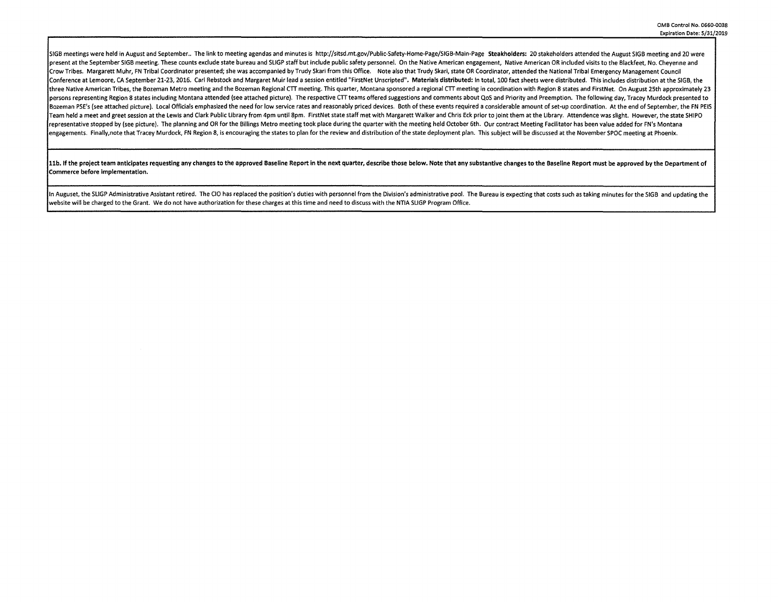SIGB meetings were held in August and September.. The link to meeting agendas and minutes is http://sitsd.mt.gov/Public-Safety-Home-Page/SIGB-Main-Page Steakholders: 20 stakeholders attended the August SIGB meeting and 20 oresent at the September SIGB meeting. These counts exclude state bureau and SLIGP staff but include public safety personnel. On the Native American engagement. Native American OR included visits to the Blackfeet. No. Chev Crow Tribes. Margarett Muhr, FN Tribal Coordinator presented; she was accompanied by Trudy Skari from this Office. Note also that Trudy Skari, state OR Coordinator, attended the National Tribal Emergency Management Council Conference at Lemoore, CA September 21-23, 2016. Carl Rebstock and Margaret Muir lead a session entitled "FirstNet Unscripted". Materials distributed: In total, 100 fact sheets were distributed. This includes distribution three Native American Tribes, the Bozeman Metro meeting and the Bozeman Regional CTT meeting. This quarter, Montana sponsored a regional CTT meeting in coordination with Region 8 states and FirstNet. On August 25th approxi persons representing Region 8 states including Montana attended (see attached picture). The respective CTT teams offered suggestions and comments about QoS and Priority and Preemption. The following day, Tracey Murdock pre Bozeman PSE's (see attached picture). Local Officials emphasized the need for low service rates and reasonably priced devices. Both of these events required a considerable amount of set-up coordination. At the end of Septe Team held a meet and greet session at the Lewis and Clark Public Library from 4pm until 8pm. FirstNet state staff met with Margarett Walker and Chris Eck prior to joint them at the Library. Attendence was slight. However, representative stopped by (see picture). The planning and OR for the Billings Metro meeting took place during the quarter with the meeting held October 6th. Our contract Meeting Facilitator has been value added for FN's Mo engagements. Finally note that Tracey Murdock. FN Region 8, is encouraging the states to plan for the review and distribution of the state deployment plan. This subject will be discussed at the November SPOC meeting at Pho

11b. If the project team anticipates requesting any changes to the approved Baseline Report in the next quarter, describe those below. Note that any substantive changes to the Baseline Report must be approved by the Depart Commerce before implementation.

In Auguset, the SLIGP Administrative Assistant retired. The CIO has replaced the position's duties with personnel from the Division's administrative pool. The Bureau is expecting that costs such as taking minutes for the S website will be charged to the Grant. We do not have authorization for these charges at this time and need to discuss with the NTIA SLIGP Program Office.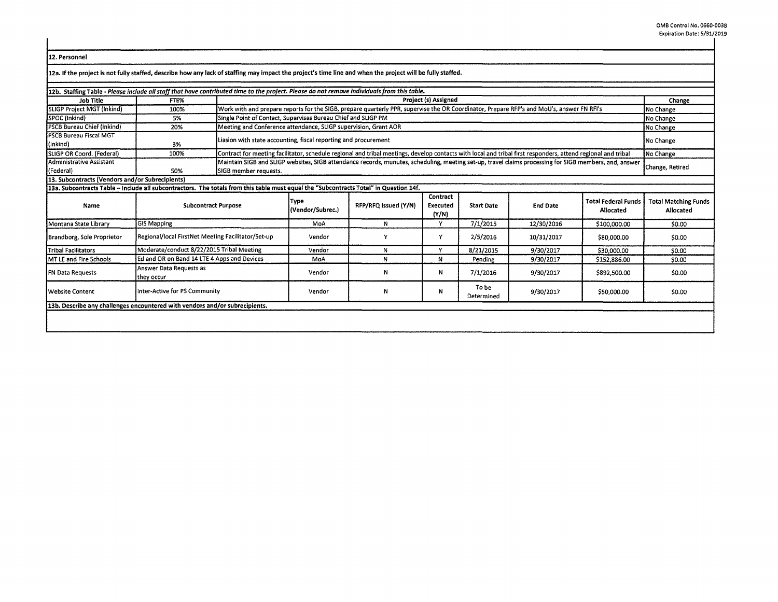| 12. Personnel |
|---------------|
|               |

| 12. Personnel                                                                                                                                              |                                                    |                       |                                                                                                                                                                           |                      |                               |                     |                 |                                         |                                          |  |
|------------------------------------------------------------------------------------------------------------------------------------------------------------|----------------------------------------------------|-----------------------|---------------------------------------------------------------------------------------------------------------------------------------------------------------------------|----------------------|-------------------------------|---------------------|-----------------|-----------------------------------------|------------------------------------------|--|
| 12a. If the project is not fully staffed, describe how any lack of staffing may impact the project's time line and when the project will be fully staffed. |                                                    |                       |                                                                                                                                                                           |                      |                               |                     |                 |                                         |                                          |  |
| 12b. Staffing Table - Please include all staff that have contributed time to the project. Please do not remove individuals from this table.                |                                                    |                       |                                                                                                                                                                           |                      |                               |                     |                 |                                         |                                          |  |
| Job Title                                                                                                                                                  | FTE%                                               |                       | Project (s) Assigned                                                                                                                                                      |                      |                               |                     |                 |                                         |                                          |  |
| <b>SLIGP Project MGT (Inkind)</b>                                                                                                                          | 100%                                               |                       | Work with and prepare reports for the SIGB, prepare quarterly PPR, supervise the OR Coordinator, Prepare RFP's and MoU's, answer FN RFI's<br>No Change                    |                      |                               |                     |                 |                                         |                                          |  |
| SPOC (Inkind)                                                                                                                                              | 5%                                                 |                       | Single Point of Contact, Supervises Bureau Chief and SLIGP PM                                                                                                             |                      |                               |                     |                 |                                         |                                          |  |
| <b>PSCB Bureau Chief (Inkind)</b>                                                                                                                          | 20%                                                |                       | No Change<br>Meeting and Conference attendance, SLIGP supervision, Grant AOR<br>No Change                                                                                 |                      |                               |                     |                 |                                         |                                          |  |
| <b>PSCB Bureau Fiscal MGT</b><br>(Inkind)                                                                                                                  | 3%                                                 |                       | Liasion with state accounting, fiscal reporting and procurement                                                                                                           |                      |                               |                     |                 |                                         |                                          |  |
| SLIGP OR Coord. (Federal)                                                                                                                                  | 100%                                               |                       | Contract for meeting facilitator, schedule regional and tribal meetings, develop contacts with local and tribal first responders, attend regional and tribal<br>No Change |                      |                               |                     |                 |                                         |                                          |  |
| <b>Administrative Assistant</b><br>(Federal)                                                                                                               | 50%                                                | SIGB member requests. | Maintain SIGB and SLIGP websites, SIGB attendance records, munutes, scheduling, meeting set-up, travel claims processing for SIGB members, and, answer<br>Change, Retired |                      |                               |                     |                 |                                         |                                          |  |
| 13. Subcontracts (Vendors and/or Subrecipients)                                                                                                            |                                                    |                       |                                                                                                                                                                           |                      |                               |                     |                 |                                         |                                          |  |
| 13a. Subcontracts Table - include all subcontractors. The totals from this table must equal the "Subcontracts Total" in Question 14f.                      |                                                    |                       |                                                                                                                                                                           |                      |                               |                     |                 |                                         |                                          |  |
| Name                                                                                                                                                       | <b>Subcontract Purpose</b>                         |                       | Type<br>(Vendor/Subrec.)                                                                                                                                                  | RFP/RFQ Issued (Y/N) | Contract<br>Executed<br>(Y/N) | <b>Start Date</b>   | <b>End Date</b> | <b>Total Federal Funds</b><br>Allocated | <b>Total Matching Funds</b><br>Allocated |  |
| Montana State Library                                                                                                                                      | <b>GIS Mapping</b>                                 |                       | MoA                                                                                                                                                                       | N                    | Y                             | 7/1/2015            | 12/30/2016      | \$100,000.00                            | \$0.00                                   |  |
| Brandborg, Sole Proprietor                                                                                                                                 | Regional/local FirstNet Meeting Facilitator/Set-up |                       | Vendor                                                                                                                                                                    | ٧                    | Y                             | 2/5/2016            | 10/31/2017      | \$80,000.00                             | \$0.00                                   |  |
| <b>Tribal Facilitators</b>                                                                                                                                 | Moderate/conduct 8/22/2015 Tribal Meeting          |                       | Vendor                                                                                                                                                                    | N                    | $\mathbf v$                   | 8/21/2015           | 9/30/2017       | \$30,000.00                             | \$0.00                                   |  |
| MT LE and Fire Schools                                                                                                                                     | Ed and OR on Band 14 LTE 4 Apps and Devices        |                       | MoA                                                                                                                                                                       | N                    | N                             | Pending             | 9/30/2017       | \$152,886.00                            | \$0.00                                   |  |
| FN Data Requests                                                                                                                                           | Answer Data Requests as<br>they occur              |                       | Vendor                                                                                                                                                                    | N                    | N                             | 7/1/2016            | 9/30/2017       | \$892,500.00                            | \$0.00                                   |  |
| <b>Website Content</b>                                                                                                                                     | Inter-Active for PS Community                      |                       | Vendor                                                                                                                                                                    | N                    | N                             | To be<br>Determined | 9/30/2017       | \$50,000.00                             | \$0.00                                   |  |
| 13b. Describe any challenges encountered with vendors and/or subrecipients.                                                                                |                                                    |                       |                                                                                                                                                                           |                      |                               |                     |                 |                                         |                                          |  |
|                                                                                                                                                            |                                                    |                       |                                                                                                                                                                           |                      |                               |                     |                 |                                         |                                          |  |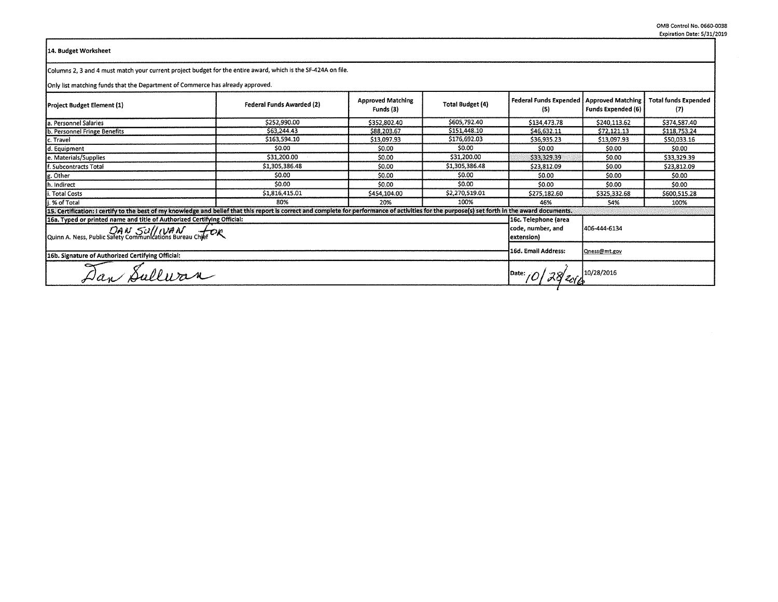## 14. Budget Worksheet

Columns 2, 3 and 4 must match your current project budget for the entire award, which is the SF-424A on file.

Only list matching funds that the Department of Commerce has already approved.

| Project Budget Element (1)                                                                                                                                                                      | Federal Funds Awarded (2) | <b>Approved Matching</b><br>Funds (3)     | Total Budget (4) | Federal Funds Expended   Approved Matching  <br>(5) | <b>Funds Expended (6)</b> | <b>Total funds Expended</b><br>(7) |  |
|-------------------------------------------------------------------------------------------------------------------------------------------------------------------------------------------------|---------------------------|-------------------------------------------|------------------|-----------------------------------------------------|---------------------------|------------------------------------|--|
| la. Personnel Salaries                                                                                                                                                                          | \$252,990.00              | \$352,802.40                              | \$605,792.40     | \$134,473.78                                        | \$240,113.62              | \$374,587.40                       |  |
| b. Personnel Fringe Benefits                                                                                                                                                                    | \$63,244.43               | \$88,203.67                               | \$151,448.10     | \$46,632.11                                         | \$72,121.13               | \$118,753.24                       |  |
| c. Travel                                                                                                                                                                                       | \$163,594.10              | \$13,097.93                               | \$176,692.03     | \$36,935.23                                         | \$13,097.93               | \$50,033.16                        |  |
| d. Equipment                                                                                                                                                                                    | \$0.00                    | \$0.00                                    | \$0.00           | \$0.00                                              | \$0.00                    | \$0.00                             |  |
| e. Materials/Supplies                                                                                                                                                                           | \$31,200.00               | \$0.00                                    | \$31,200.00      | \$33,329.39                                         | \$0.00                    | \$33,329.39                        |  |
| If. Subcontracts Total                                                                                                                                                                          | \$1,305,386.48            | \$0.00                                    | \$1,305,386.48   | \$23.812.09                                         | \$0.00                    | \$23,812.09                        |  |
| g. Other                                                                                                                                                                                        | \$0.00                    | \$0.00                                    | 50.00            | \$0.00                                              | \$0.00                    | \$0.00                             |  |
| h. Indirect                                                                                                                                                                                     | \$0.00                    | \$0.00                                    | \$0.00           | \$0.00                                              | \$0.00                    | \$0.00                             |  |
| i. Total Costs                                                                                                                                                                                  | \$1,816,415.01            | \$454,104.00                              | \$2,270,519.01   | \$275,182.60                                        | \$325,332.68              | \$600,515.28                       |  |
| i. % of Total                                                                                                                                                                                   | 80%                       |                                           | 100%             | 46%                                                 | 54%                       | 100%                               |  |
| 15. Certification: I certify to the best of my knowledge and belief that this report is correct and complete for performance of activities for the purpose(s) set forth in the award documents. |                           |                                           |                  |                                                     |                           |                                    |  |
| 16a. Typed or printed name and title of Authorized Certifying Official:                                                                                                                         |                           | 16c. Telephone (area<br>code, number, and | 406-444-6134     |                                                     |                           |                                    |  |
| Quinn A. Ness, Public Safety Communications Bureau Chief D.R.                                                                                                                                   | (extension                |                                           |                  |                                                     |                           |                                    |  |
| 16b. Signature of Authorized Certifying Official:                                                                                                                                               |                           |                                           |                  |                                                     | Qness@mt.gov              |                                    |  |
| Dan Sulluran                                                                                                                                                                                    | Date: 0 28 2014           |                                           |                  |                                                     |                           |                                    |  |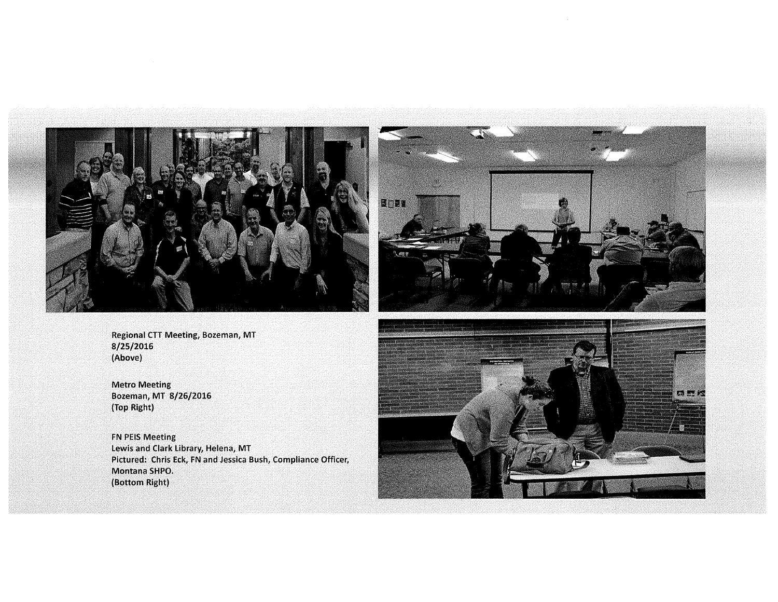



Regional CTT Meeting, Bozeman, MT 8/25/2016 (Above)

Metro Meeting Bozeman, MT 8/26/2016 (Top Right)

FN PEIS Meeting Lewis and Clark Library, Helena, MT Pictured: Chris Eck, FN and Jessica Bush, Compliance Officer, Montana SHPO. (Bottom Right)